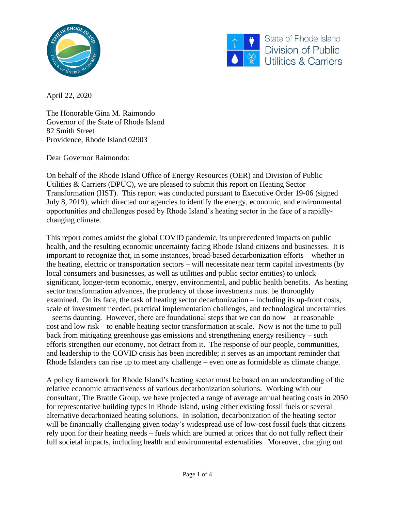



State of Rhode Island Division of Public **Utilities & Carriers** 

April 22, 2020

The Honorable Gina M. Raimondo Governor of the State of Rhode Island 82 Smith Street Providence, Rhode Island 02903

Dear Governor Raimondo:

On behalf of the Rhode Island Office of Energy Resources (OER) and Division of Public Utilities & Carriers (DPUC), we are pleased to submit this report on Heating Sector Transformation (HST). This report was conducted pursuant to Executive Order 19-06 (signed July 8, 2019), which directed our agencies to identify the energy, economic, and environmental opportunities and challenges posed by Rhode Island's heating sector in the face of a rapidlychanging climate.

This report comes amidst the global COVID pandemic, its unprecedented impacts on public health, and the resulting economic uncertainty facing Rhode Island citizens and businesses. It is important to recognize that, in some instances, broad-based decarbonization efforts – whether in the heating, electric or transportation sectors – will necessitate near term capital investments (by local consumers and businesses, as well as utilities and public sector entities) to unlock significant, longer-term economic, energy, environmental, and public health benefits. As heating sector transformation advances, the prudency of those investments must be thoroughly examined. On its face, the task of heating sector decarbonization – including its up-front costs, scale of investment needed, practical implementation challenges, and technological uncertainties – seems daunting. However, there are foundational steps that we can do now – at reasonable cost and low risk – to enable heating sector transformation at scale. Now is not the time to pull back from mitigating greenhouse gas emissions and strengthening energy resiliency – such efforts strengthen our economy, not detract from it. The response of our people, communities, and leadership to the COVID crisis has been incredible; it serves as an important reminder that Rhode Islanders can rise up to meet any challenge – even one as formidable as climate change.

A policy framework for Rhode Island's heating sector must be based on an understanding of the relative economic attractiveness of various decarbonization solutions. Working with our consultant, The Brattle Group, we have projected a range of average annual heating costs in 2050 for representative building types in Rhode Island, using either existing fossil fuels or several alternative decarbonized heating solutions. In isolation, decarbonization of the heating sector will be financially challenging given today's widespread use of low-cost fossil fuels that citizens rely upon for their heating needs – fuels which are burned at prices that do not fully reflect their full societal impacts, including health and environmental externalities. Moreover, changing out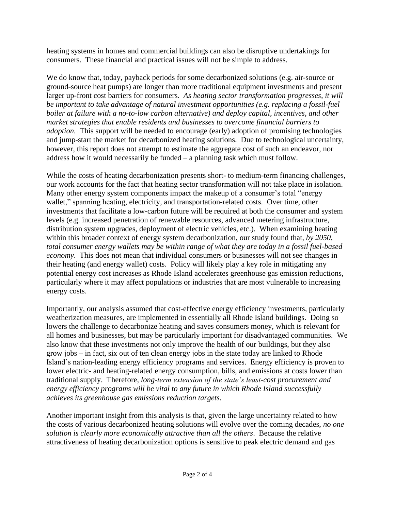heating systems in homes and commercial buildings can also be disruptive undertakings for consumers. These financial and practical issues will not be simple to address.

We do know that, today, payback periods for some decarbonized solutions (e.g. air-source or ground-source heat pumps) are longer than more traditional equipment investments and present larger up-front cost barriers for consumers. *As heating sector transformation progresses, it will be important to take advantage of natural investment opportunities (e.g. replacing a fossil-fuel boiler at failure with a no-to-low carbon alternative) and deploy capital, incentives, and other market strategies that enable residents and businesses to overcome financial barriers to adoption.* This support will be needed to encourage (early) adoption of promising technologies and jump-start the market for decarbonized heating solutions. Due to technological uncertainty, however, this report does not attempt to estimate the aggregate cost of such an endeavor, nor address how it would necessarily be funded – a planning task which must follow.

While the costs of heating decarbonization presents short- to medium-term financing challenges, our work accounts for the fact that heating sector transformation will not take place in isolation. Many other energy system components impact the makeup of a consumer's total "energy wallet," spanning heating, electricity, and transportation-related costs. Over time, other investments that facilitate a low-carbon future will be required at both the consumer and system levels (e.g. increased penetration of renewable resources, advanced metering infrastructure, distribution system upgrades, deployment of electric vehicles, etc.). When examining heating within this broader context of energy system decarbonization, our study found that, *by 2050, total consumer energy wallets may be within range of what they are today in a fossil fuel-based economy*. This does not mean that individual consumers or businesses will not see changes in their heating (and energy wallet) costs. Policy will likely play a key role in mitigating any potential energy cost increases as Rhode Island accelerates greenhouse gas emission reductions, particularly where it may affect populations or industries that are most vulnerable to increasing energy costs.

Importantly, our analysis assumed that cost-effective energy efficiency investments, particularly weatherization measures, are implemented in essentially all Rhode Island buildings. Doing so lowers the challenge to decarbonize heating and saves consumers money, which is relevant for all homes and businesses, but may be particularly important for disadvantaged communities. We also know that these investments not only improve the health of our buildings, but they also grow jobs – in fact, six out of ten clean energy jobs in the state today are linked to Rhode Island's nation-leading energy efficiency programs and services. Energy efficiency is proven to lower electric- and heating-related energy consumption, bills, and emissions at costs lower than traditional supply. Therefore, *long-term extension of the state's least-cost procurement and energy efficiency programs will be vital to any future in which Rhode Island successfully achieves its greenhouse gas emissions reduction targets.* 

Another important insight from this analysis is that, given the large uncertainty related to how the costs of various decarbonized heating solutions will evolve over the coming decades, *no one solution is clearly more economically attractive than all the others*. Because the relative attractiveness of heating decarbonization options is sensitive to peak electric demand and gas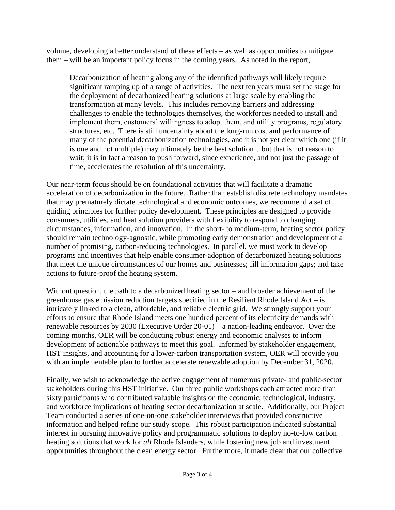volume, developing a better understand of these effects – as well as opportunities to mitigate them – will be an important policy focus in the coming years. As noted in the report,

Decarbonization of heating along any of the identified pathways will likely require significant ramping up of a range of activities. The next ten years must set the stage for the deployment of decarbonized heating solutions at large scale by enabling the transformation at many levels. This includes removing barriers and addressing challenges to enable the technologies themselves, the workforces needed to install and implement them, customers' willingness to adopt them, and utility programs, regulatory structures, etc. There is still uncertainty about the long-run cost and performance of many of the potential decarbonization technologies, and it is not yet clear which one (if it is one and not multiple) may ultimately be the best solution…but that is not reason to wait; it is in fact a reason to push forward, since experience, and not just the passage of time, accelerates the resolution of this uncertainty.

Our near-term focus should be on foundational activities that will facilitate a dramatic acceleration of decarbonization in the future. Rather than establish discrete technology mandates that may prematurely dictate technological and economic outcomes, we recommend a set of guiding principles for further policy development. These principles are designed to provide consumers, utilities, and heat solution providers with flexibility to respond to changing circumstances, information, and innovation. In the short- to medium-term, heating sector policy should remain technology-agnostic, while promoting early demonstration and development of a number of promising, carbon-reducing technologies. In parallel, we must work to develop programs and incentives that help enable consumer-adoption of decarbonized heating solutions that meet the unique circumstances of our homes and businesses; fill information gaps; and take actions to future-proof the heating system.

Without question, the path to a decarbonized heating sector – and broader achievement of the greenhouse gas emission reduction targets specified in the Resilient Rhode Island Act – is intricately linked to a clean, affordable, and reliable electric grid. We strongly support your efforts to ensure that Rhode Island meets one hundred percent of its electricity demands with renewable resources by 2030 (Executive Order 20-01) – a nation-leading endeavor. Over the coming months, OER will be conducting robust energy and economic analyses to inform development of actionable pathways to meet this goal. Informed by stakeholder engagement, HST insights, and accounting for a lower-carbon transportation system, OER will provide you with an implementable plan to further accelerate renewable adoption by December 31, 2020.

Finally, we wish to acknowledge the active engagement of numerous private- and public-sector stakeholders during this HST initiative. Our three public workshops each attracted more than sixty participants who contributed valuable insights on the economic, technological, industry, and workforce implications of heating sector decarbonization at scale. Additionally, our Project Team conducted a series of one-on-one stakeholder interviews that provided constructive information and helped refine our study scope. This robust participation indicated substantial interest in pursuing innovative policy and programmatic solutions to deploy no-to-low carbon heating solutions that work for *all* Rhode Islanders, while fostering new job and investment opportunities throughout the clean energy sector. Furthermore, it made clear that our collective